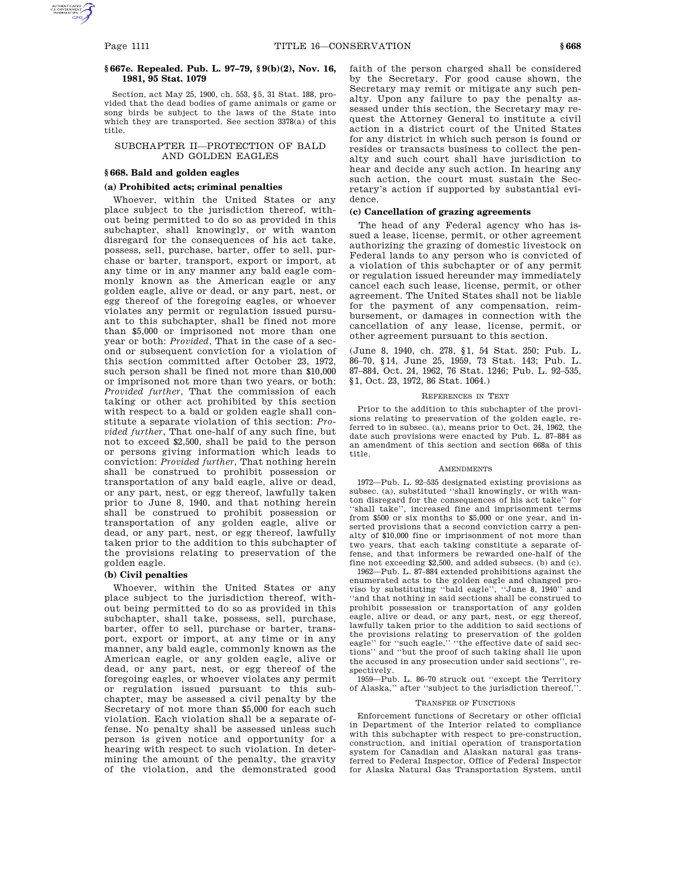# **§ 667e. Repealed. Pub. L. 97–79, § 9(b)(2), Nov. 16, 1981, 95 Stat. 1079**

Section, act May 25, 1900, ch. 553, §5, 31 Stat. 188, provided that the dead bodies of game animals or game or song birds be subject to the laws of the State into which they are transported. See section 3378(a) of this title.

# SUBCHAPTER II—PROTECTION OF BALD AND GOLDEN EAGLES

## **§ 668. Bald and golden eagles**

# **(a) Prohibited acts; criminal penalties**

Whoever, within the United States or any place subject to the jurisdiction thereof, without being permitted to do so as provided in this subchapter, shall knowingly, or with wanton disregard for the consequences of his act take, possess, sell, purchase, barter, offer to sell, purchase or barter, transport, export or import, at any time or in any manner any bald eagle commonly known as the American eagle or any golden eagle, alive or dead, or any part, nest, or egg thereof of the foregoing eagles, or whoever violates any permit or regulation issued pursuant to this subchapter, shall be fined not more than \$5,000 or imprisoned not more than one year or both: *Provided*, That in the case of a second or subsequent conviction for a violation of this section committed after October 23, 1972, such person shall be fined not more than \$10,000 or imprisoned not more than two years, or both: *Provided further*, That the commission of each taking or other act prohibited by this section with respect to a bald or golden eagle shall constitute a separate violation of this section: *Provided further*, That one-half of any such fine, but not to exceed \$2,500, shall be paid to the person or persons giving information which leads to conviction: *Provided further*, That nothing herein shall be construed to prohibit possession or transportation of any bald eagle, alive or dead, or any part, nest, or egg thereof, lawfully taken prior to June 8, 1940, and that nothing herein shall be construed to prohibit possession or transportation of any golden eagle, alive or dead, or any part, nest, or egg thereof, lawfully taken prior to the addition to this subchapter of the provisions relating to preservation of the golden eagle.

# **(b) Civil penalties**

Whoever, within the United States or any place subject to the jurisdiction thereof, without being permitted to do so as provided in this subchapter, shall take, possess, sell, purchase, barter, offer to sell, purchase or barter, transport, export or import, at any time or in any manner, any bald eagle, commonly known as the American eagle, or any golden eagle, alive or dead, or any part, nest, or egg thereof of the foregoing eagles, or whoever violates any permit or regulation issued pursuant to this subchapter, may be assessed a civil penalty by the Secretary of not more than \$5,000 for each such violation. Each violation shall be a separate offense. No penalty shall be assessed unless such person is given notice and opportunity for a hearing with respect to such violation. In determining the amount of the penalty, the gravity of the violation, and the demonstrated good faith of the person charged shall be considered by the Secretary. For good cause shown, the Secretary may remit or mitigate any such penalty. Upon any failure to pay the penalty assessed under this section, the Secretary may request the Attorney General to institute a civil action in a district court of the United States for any district in which such person is found or resides or transacts business to collect the penalty and such court shall have jurisdiction to hear and decide any such action. In hearing any such action, the court must sustain the Secretary's action if supported by substantial evidence.

# **(c) Cancellation of grazing agreements**

The head of any Federal agency who has issued a lease, license, permit, or other agreement authorizing the grazing of domestic livestock on Federal lands to any person who is convicted of a violation of this subchapter or of any permit or regulation issued hereunder may immediately cancel each such lease, license, permit, or other agreement. The United States shall not be liable for the payment of any compensation, reimbursement, or damages in connection with the cancellation of any lease, license, permit, or other agreement pursuant to this section.

(June 8, 1940, ch. 278, §1, 54 Stat. 250; Pub. L. 86–70, §14, June 25, 1959, 73 Stat. 143; Pub. L. 87–884, Oct. 24, 1962, 76 Stat. 1246; Pub. L. 92–535, §1, Oct. 23, 1972, 86 Stat. 1064.)

#### REFERENCES IN TEXT

Prior to the addition to this subchapter of the provisions relating to preservation of the golden eagle, referred to in subsec. (a), means prior to Oct. 24, 1962, the date such provisions were enacted by Pub. L. 87–884 as an amendment of this section and section 668a of this title.

#### **AMENDMENTS**

1972—Pub. L. 92–535 designated existing provisions as subsec. (a), substituted "shall knowingly, or with wanton disregard for the consequences of his act take'' for 'shall take'', increased fine and imprisonment terms from \$500 or six months to \$5,000 or one year, and inserted provisions that a second conviction carry a penalty of \$10,000 fine or imprisonment of not more than two years, that each taking constitute a separate offense, and that informers be rewarded one-half of the fine not exceeding \$2,500, and added subsecs. (b) and (c).

1962—Pub. L. 87–884 extended prohibitions against the enumerated acts to the golden eagle and changed proviso by substituting ''bald eagle'', ''June 8, 1940'' and ''and that nothing in said sections shall be construed to prohibit possession or transportation of any golden eagle, alive or dead, or any part, nest, or egg thereof, lawfully taken prior to the addition to said sections of the provisions relating to preservation of the golden eagle" for "such eagle," "the effective date of said sections'' and ''but the proof of such taking shall lie upon the accused in any prosecution under said sections'', respectively.

1959—Pub. L. 86–70 struck out ''except the Territory of Alaska,'' after ''subject to the jurisdiction thereof,''.

## TRANSFER OF FUNCTIONS

Enforcement functions of Secretary or other official in Department of the Interior related to compliance with this subchapter with respect to pre-construction, construction, and initial operation of transportation system for Canadian and Alaskan natural gas transferred to Federal Inspector, Office of Federal Inspector for Alaska Natural Gas Transportation System, until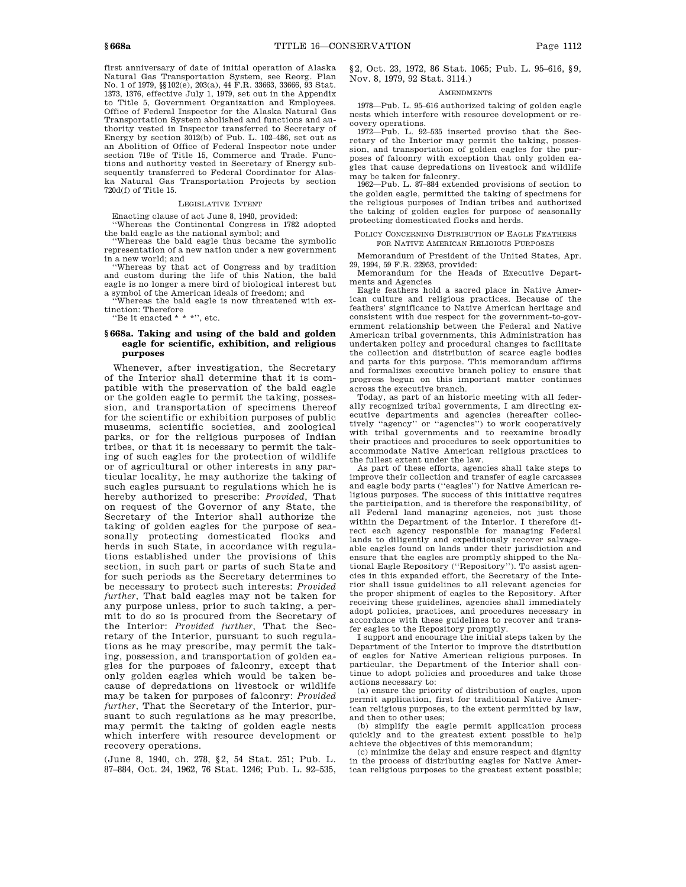first anniversary of date of initial operation of Alaska Natural Gas Transportation System, see Reorg. Plan No. 1 of 1979, §§102(e), 203(a), 44 F.R. 33663, 33666, 93 Stat. 1373, 1376, effective July 1, 1979, set out in the Appendix to Title 5, Government Organization and Employees. Office of Federal Inspector for the Alaska Natural Gas Transportation System abolished and functions and authority vested in Inspector transferred to Secretary of Energy by section 3012(b) of Pub. L. 102–486, set out as an Abolition of Office of Federal Inspector note under section 719e of Title 15, Commerce and Trade. Functions and authority vested in Secretary of Energy subsequently transferred to Federal Coordinator for Alaska Natural Gas Transportation Projects by section 720d(f) of Title 15.

## LEGISLATIVE INTENT

Enacting clause of act June 8, 1940, provided: ''Whereas the Continental Congress in 1782 adopted the bald eagle as the national symbol; and

'Whereas the bald eagle thus became the symbolic representation of a new nation under a new government in a new world; and

''Whereas by that act of Congress and by tradition and custom during the life of this Nation, the bald eagle is no longer a mere bird of biological interest but a symbol of the American ideals of freedom; and

''Whereas the bald eagle is now threatened with extinction: Therefore ''Be it enacted \* \* \*'', etc.

# **§ 668a. Taking and using of the bald and golden eagle for scientific, exhibition, and religious purposes**

Whenever, after investigation, the Secretary of the Interior shall determine that it is compatible with the preservation of the bald eagle or the golden eagle to permit the taking, possession, and transportation of specimens thereof for the scientific or exhibition purposes of public museums, scientific societies, and zoological parks, or for the religious purposes of Indian tribes, or that it is necessary to permit the taking of such eagles for the protection of wildlife or of agricultural or other interests in any particular locality, he may authorize the taking of such eagles pursuant to regulations which he is hereby authorized to prescribe: *Provided*, That on request of the Governor of any State, the Secretary of the Interior shall authorize the taking of golden eagles for the purpose of seasonally protecting domesticated flocks and herds in such State, in accordance with regulations established under the provisions of this section, in such part or parts of such State and for such periods as the Secretary determines to be necessary to protect such interests: *Provided further*, That bald eagles may not be taken for any purpose unless, prior to such taking, a permit to do so is procured from the Secretary of the Interior: *Provided further*, That the Secretary of the Interior, pursuant to such regulations as he may prescribe, may permit the taking, possession, and transportation of golden eagles for the purposes of falconry, except that only golden eagles which would be taken because of depredations on livestock or wildlife may be taken for purposes of falconry: *Provided further*, That the Secretary of the Interior, pursuant to such regulations as he may prescribe, may permit the taking of golden eagle nests which interfere with resource development or recovery operations.

(June 8, 1940, ch. 278, §2, 54 Stat. 251; Pub. L. 87–884, Oct. 24, 1962, 76 Stat. 1246; Pub. L. 92–535, §2, Oct. 23, 1972, 86 Stat. 1065; Pub. L. 95–616, §9, Nov. 8, 1979, 92 Stat. 3114.)

#### AMENDMENTS

1978—Pub. L. 95–616 authorized taking of golden eagle nests which interfere with resource development or recovery operations.

1972—Pub. L. 92–535 inserted proviso that the Secretary of the Interior may permit the taking, possession, and transportation of golden eagles for the purposes of falconry with exception that only golden eagles that cause depredations on livestock and wildlife may be taken for falconry.

1962—Pub. L. 87–884 extended provisions of section to the golden eagle, permitted the taking of specimens for the religious purposes of Indian tribes and authorized the taking of golden eagles for purpose of seasonally protecting domesticated flocks and herds.

POLICY CONCERNING DISTRIBUTION OF EAGLE FEATHERS FOR NATIVE AMERICAN RELIGIOUS PURPOSES

Memorandum of President of the United States, Apr.

29, 1994, 59 F.R. 22953, provided: Memorandum for the Heads of Executive Departments and Agencies

Eagle feathers hold a sacred place in Native American culture and religious practices. Because of the feathers' significance to Native American heritage and consistent with due respect for the government-to-government relationship between the Federal and Native American tribal governments, this Administration has undertaken policy and procedural changes to facilitate the collection and distribution of scarce eagle bodies and parts for this purpose. This memorandum affirms and formalizes executive branch policy to ensure that progress begun on this important matter continues across the executive branch.

Today, as part of an historic meeting with all federally recognized tribal governments, I am directing executive departments and agencies (hereafter collectively ''agency'' or ''agencies'') to work cooperatively with tribal governments and to reexamine broadly their practices and procedures to seek opportunities to accommodate Native American religious practices to the fullest extent under the law.

As part of these efforts, agencies shall take steps to improve their collection and transfer of eagle carcasses and eagle body parts (''eagles'') for Native American religious purposes. The success of this initiative requires the participation, and is therefore the responsibility, of all Federal land managing agencies, not just those within the Department of the Interior. I therefore direct each agency responsible for managing Federal lands to diligently and expeditiously recover salvageable eagles found on lands under their jurisdiction and ensure that the eagles are promptly shipped to the National Eagle Repository (''Repository''). To assist agencies in this expanded effort, the Secretary of the Interior shall issue guidelines to all relevant agencies for the proper shipment of eagles to the Repository. After receiving these guidelines, agencies shall immediately adopt policies, practices, and procedures necessary in accordance with these guidelines to recover and transfer eagles to the Repository promptly.

I support and encourage the initial steps taken by the Department of the Interior to improve the distribution of eagles for Native American religious purposes. In particular, the Department of the Interior shall continue to adopt policies and procedures and take those actions necessary to:

(a) ensure the priority of distribution of eagles, upon permit application, first for traditional Native American religious purposes, to the extent permitted by law, and then to other uses;

(b) simplify the eagle permit application process quickly and to the greatest extent possible to help achieve the objectives of this memorandum;

(c) minimize the delay and ensure respect and dignity in the process of distributing eagles for Native American religious purposes to the greatest extent possible;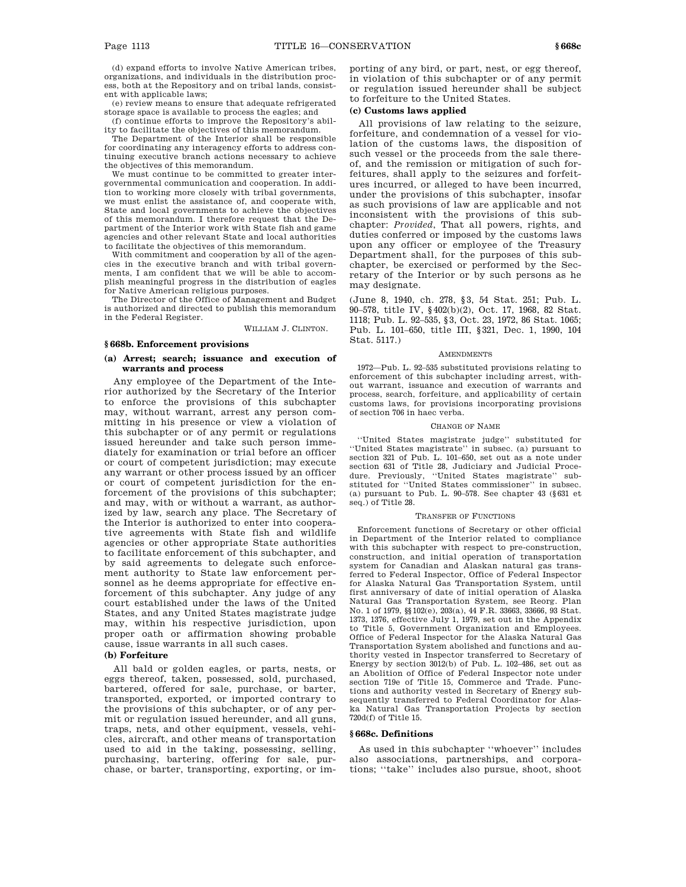(d) expand efforts to involve Native American tribes, organizations, and individuals in the distribution process, both at the Repository and on tribal lands, consistent with applicable laws;

(e) review means to ensure that adequate refrigerated storage space is available to process the eagles; and

(f) continue efforts to improve the Repository's ability to facilitate the objectives of this memorandum.

The Department of the Interior shall be responsible for coordinating any interagency efforts to address continuing executive branch actions necessary to achieve the objectives of this memorandum.

We must continue to be committed to greater intergovernmental communication and cooperation. In addition to working more closely with tribal governments, we must enlist the assistance of, and cooperate with, State and local governments to achieve the objectives of this memorandum. I therefore request that the Department of the Interior work with State fish and game agencies and other relevant State and local authorities to facilitate the objectives of this memorandum.

With commitment and cooperation by all of the agencies in the executive branch and with tribal governments, I am confident that we will be able to accomplish meaningful progress in the distribution of eagles for Native American religious purposes.

The Director of the Office of Management and Budget is authorized and directed to publish this memorandum in the Federal Register.

WILLIAM J. CLINTON.

## **§ 668b. Enforcement provisions**

# **(a) Arrest; search; issuance and execution of warrants and process**

Any employee of the Department of the Interior authorized by the Secretary of the Interior to enforce the provisions of this subchapter may, without warrant, arrest any person committing in his presence or view a violation of this subchapter or of any permit or regulations issued hereunder and take such person immediately for examination or trial before an officer or court of competent jurisdiction; may execute any warrant or other process issued by an officer or court of competent jurisdiction for the enforcement of the provisions of this subchapter; and may, with or without a warrant, as authorized by law, search any place. The Secretary of the Interior is authorized to enter into cooperative agreements with State fish and wildlife agencies or other appropriate State authorities to facilitate enforcement of this subchapter, and by said agreements to delegate such enforcement authority to State law enforcement personnel as he deems appropriate for effective enforcement of this subchapter. Any judge of any court established under the laws of the United States, and any United States magistrate judge may, within his respective jurisdiction, upon proper oath or affirmation showing probable cause, issue warrants in all such cases.

## **(b) Forfeiture**

All bald or golden eagles, or parts, nests, or eggs thereof, taken, possessed, sold, purchased, bartered, offered for sale, purchase, or barter, transported, exported, or imported contrary to the provisions of this subchapter, or of any permit or regulation issued hereunder, and all guns, traps, nets, and other equipment, vessels, vehicles, aircraft, and other means of transportation used to aid in the taking, possessing, selling, purchasing, bartering, offering for sale, purchase, or barter, transporting, exporting, or importing of any bird, or part, nest, or egg thereof, in violation of this subchapter or of any permit or regulation issued hereunder shall be subject to forfeiture to the United States.

## **(c) Customs laws applied**

All provisions of law relating to the seizure, forfeiture, and condemnation of a vessel for violation of the customs laws, the disposition of such vessel or the proceeds from the sale thereof, and the remission or mitigation of such forfeitures, shall apply to the seizures and forfeitures incurred, or alleged to have been incurred, under the provisions of this subchapter, insofar as such provisions of law are applicable and not inconsistent with the provisions of this subchapter: *Provided*, That all powers, rights, and duties conferred or imposed by the customs laws upon any officer or employee of the Treasury Department shall, for the purposes of this subchapter, be exercised or performed by the Secretary of the Interior or by such persons as he may designate.

(June 8, 1940, ch. 278, §3, 54 Stat. 251; Pub. L. 90–578, title IV, §402(b)(2), Oct. 17, 1968, 82 Stat. 1118; Pub. L. 92–535, §3, Oct. 23, 1972, 86 Stat. 1065; Pub. L. 101–650, title III, §321, Dec. 1, 1990, 104 Stat. 5117.)

#### **AMENDMENTS**

1972—Pub. L. 92–535 substituted provisions relating to enforcement of this subchapter including arrest, without warrant, issuance and execution of warrants and process, search, forfeiture, and applicability of certain customs laws, for provisions incorporating provisions of section 706 in haec verba.

#### CHANGE OF NAME

''United States magistrate judge'' substituted for ''United States magistrate'' in subsec. (a) pursuant to section 321 of Pub. L. 101–650, set out as a note under section 631 of Title 28, Judiciary and Judicial Procedure. Previously, ''United States magistrate'' substituted for ''United States commissioner'' in subsec. (a) pursuant to Pub. L. 90–578. See chapter 43 (§631 et seq.) of Title 28.

#### TRANSFER OF FUNCTIONS

Enforcement functions of Secretary or other official in Department of the Interior related to compliance with this subchapter with respect to pre-construction. construction, and initial operation of transportation system for Canadian and Alaskan natural gas transferred to Federal Inspector, Office of Federal Inspector for Alaska Natural Gas Transportation System, until first anniversary of date of initial operation of Alaska Natural Gas Transportation System, see Reorg. Plan No. 1 of 1979, §§102(e), 203(a), 44 F.R. 33663, 33666, 93 Stat. 1373, 1376, effective July 1, 1979, set out in the Appendix to Title 5, Government Organization and Employees. Office of Federal Inspector for the Alaska Natural Gas Transportation System abolished and functions and authority vested in Inspector transferred to Secretary of Energy by section 3012(b) of Pub. L. 102–486, set out as an Abolition of Office of Federal Inspector note under section 719e of Title 15, Commerce and Trade. Functions and authority vested in Secretary of Energy subsequently transferred to Federal Coordinator for Alaska Natural Gas Transportation Projects by section 720d(f) of Title 15.

# **§ 668c. Definitions**

As used in this subchapter ''whoever'' includes also associations, partnerships, and corporations; ''take'' includes also pursue, shoot, shoot